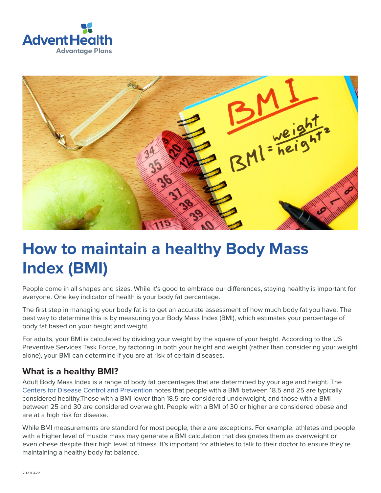



# **How to maintain a healthy Body Mass Index (BMI)**

People come in all shapes and sizes. While it's good to embrace our differences, staying healthy is important for everyone. One key indicator of health is your body fat percentage.

The first step in managing your body fat is to get an accurate assessment of how much body fat you have. The best way to determine this is by measuring your Body Mass Index (BMI), which estimates your percentage of body fat based on your height and weight.

For adults, your BMI is calculated by dividing your weight by the square of your height. According to the US Preventive Services Task Force, by factoring in both your height and weight (rather than considering your weight alone), your BMI can determine if you are at risk of certain diseases.

#### **What is a healthy BMI?**

Adult Body Mass Index is a range of body fat percentages that are determined by your age and height. The [Centers for Disease Control and Prevention](https://www.cdc.gov/healthyweight/assessing/index.html) notes that people with a BMI between 18.5 and 25 are typically considered healthy.Those with a BMI lower than 18.5 are considered underweight, and those with a BMI between 25 and 30 are considered overweight. People with a BMI of 30 or higher are considered obese and are at a high risk for disease.

While BMI measurements are standard for most people, there are exceptions. For example, athletes and people with a higher level of muscle mass may generate a BMI calculation that designates them as overweight or even obese despite their high level of fitness. It's important for athletes to talk to their doctor to ensure they're maintaining a healthy body fat balance.